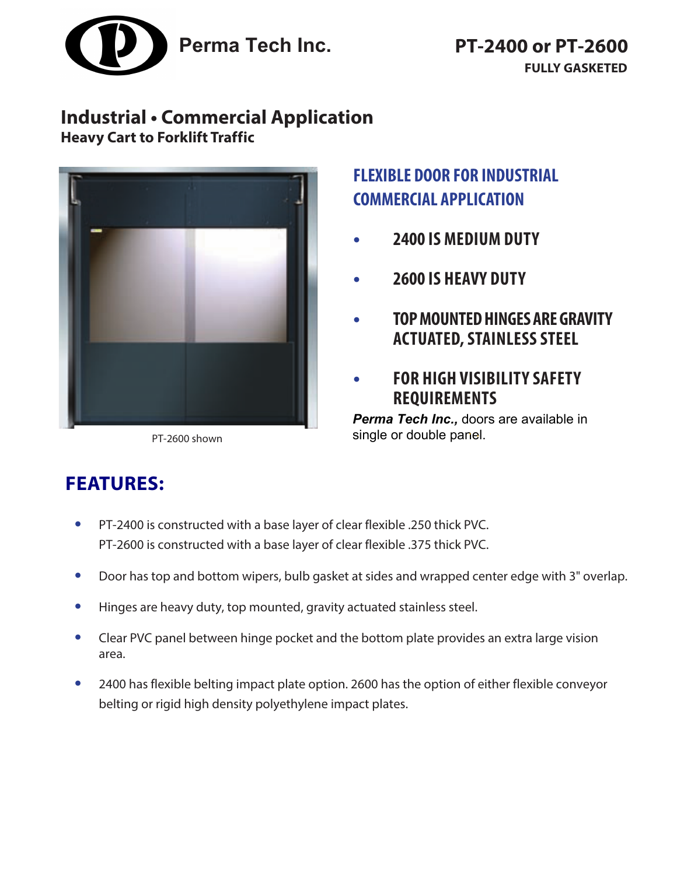

## **Industrial • Commercial Application Heavy Cart to Forklift Traffic**



PT-2600 shown

# **FLEXIBLE DOOR FOR INDUSTRIAL COMMERCIAL APPLICATION**

- **• 2400 IS MEDIUM DUTY**
- **• 2600 IS HEAVY DUTY**
- **• TOP MOUNTED HINGES ARE GRAVITY ACTUATED, STAINLESS STEEL**
- **• FOR HIGH VISIBILITY SAFETY REQUIREMENTS**

*Perma Tech Inc.,* doors are available in single or double panel.

# **FEATURES:**

- **•** PT-2400 is constructed with a base layer of clear flexible .250 thick PVC. PT-2600 is constructed with a base layer of clear flexible .375 thick PVC.
- **•** Door has top and bottom wipers, bulb gasket at sides and wrapped center edge with 3" overlap.
- **•** Hinges are heavy duty, top mounted, gravity actuated stainless steel.
- **•** Clear PVC panel between hinge pocket and the bottom plate provides an extra large vision area.
- **•** 2400 has flexible belting impact plate option. 2600 has the option of either flexible conveyor belting or rigid high density polyethylene impact plates.